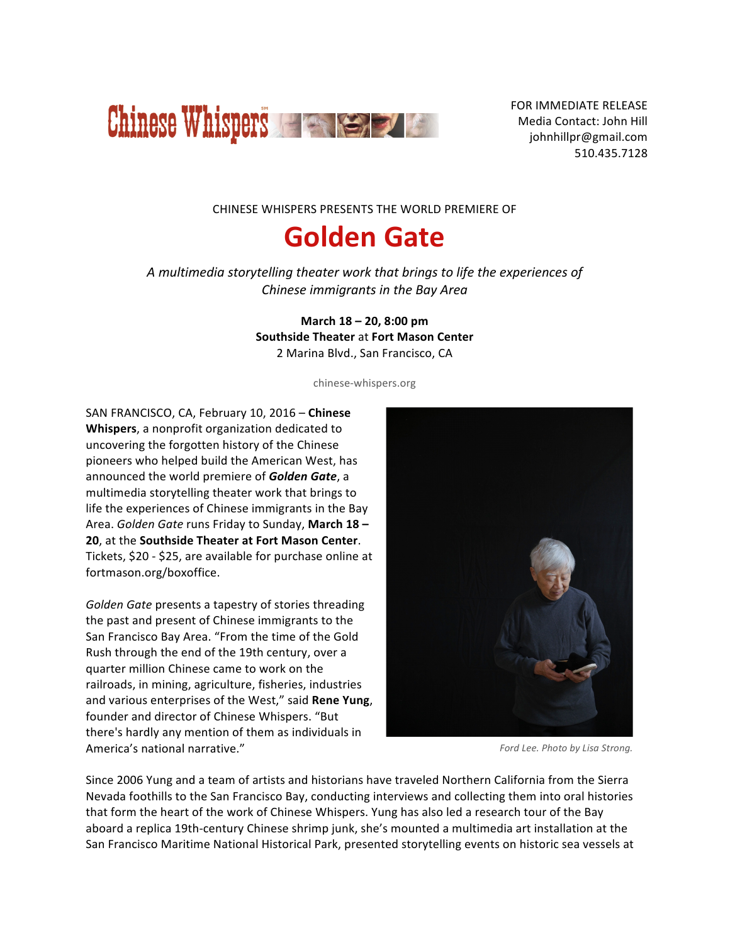

FOR IMMEDIATE RELEASE Media Contact: John Hill johnhillpr@gmail.com 510.435.7128 

CHINESE WHISPERS PRESENTS THE WORLD PREMIERE OF

# **Golden Gate**

*A multimedia storytelling theater work that brings to life the experiences of Chinese immigrants in the Bay Area* 

> **March 18 – 20, 8:00 pm Southside Theater** at **Fort Mason Center** 2 Marina Blvd., San Francisco, CA

> > chinese-whispers.org

SAN FRANCISCO, CA, February 10, 2016 - Chinese **Whispers**, a nonprofit organization dedicated to uncovering the forgotten history of the Chinese pioneers who helped build the American West, has announced the world premiere of **Golden Gate**, a multimedia storytelling theater work that brings to life the experiences of Chinese immigrants in the Bay Area. *Golden Gate* runs Friday to Sunday, March 18 -**20**, at the **Southside Theater at Fort Mason Center.** Tickets, \$20 - \$25, are available for purchase online at fortmason.org/boxoffice.

Golden Gate presents a tapestry of stories threading the past and present of Chinese immigrants to the San Francisco Bay Area. "From the time of the Gold Rush through the end of the 19th century, over a quarter million Chinese came to work on the railroads, in mining, agriculture, fisheries, industries and various enterprises of the West," said Rene Yung, founder and director of Chinese Whispers. "But there's hardly any mention of them as individuals in America's national narrative."



*Ford Lee. Photo by Lisa Strong.*

Since 2006 Yung and a team of artists and historians have traveled Northern California from the Sierra Nevada foothills to the San Francisco Bay, conducting interviews and collecting them into oral histories that form the heart of the work of Chinese Whispers. Yung has also led a research tour of the Bay aboard a replica 19th-century Chinese shrimp junk, she's mounted a multimedia art installation at the San Francisco Maritime National Historical Park, presented storytelling events on historic sea vessels at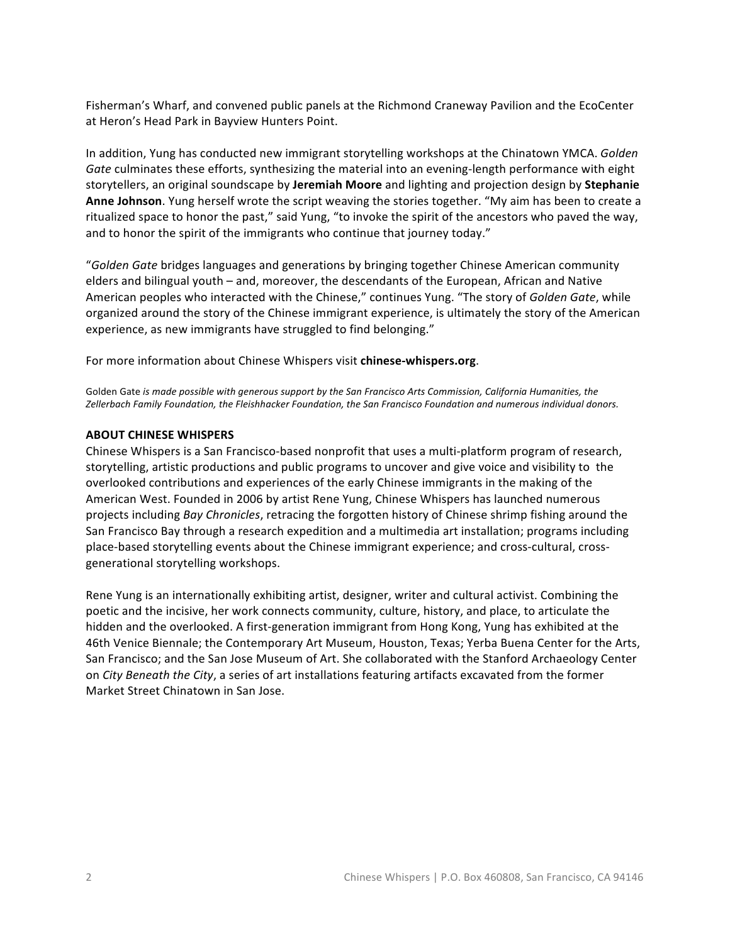Fisherman's Wharf, and convened public panels at the Richmond Craneway Pavilion and the EcoCenter at Heron's Head Park in Bayview Hunters Point.

In addition, Yung has conducted new immigrant storytelling workshops at the Chinatown YMCA. *Golden* Gate culminates these efforts, synthesizing the material into an evening-length performance with eight storytellers, an original soundscape by **Jeremiah Moore** and lighting and projection design by **Stephanie Anne Johnson**. Yung herself wrote the script weaving the stories together. "My aim has been to create a ritualized space to honor the past," said Yung, "to invoke the spirit of the ancestors who paved the way, and to honor the spirit of the immigrants who continue that journey today."

"Golden Gate bridges languages and generations by bringing together Chinese American community elders and bilingual youth – and, moreover, the descendants of the European, African and Native American peoples who interacted with the Chinese," continues Yung. "The story of *Golden Gate*, while organized around the story of the Chinese immigrant experience, is ultimately the story of the American experience, as new immigrants have struggled to find belonging."

For more information about Chinese Whispers visit **chinese-whispers.org**.

Golden Gate *is made possible with generous support by the San Francisco Arts Commission, California Humanities, the* Zellerbach Family Foundation, the Fleishhacker Foundation, the San Francisco Foundation and numerous individual donors.

#### **ABOUT CHINESE WHISPERS**

Chinese Whispers is a San Francisco-based nonprofit that uses a multi-platform program of research, storytelling, artistic productions and public programs to uncover and give voice and visibility to the overlooked contributions and experiences of the early Chinese immigrants in the making of the American West. Founded in 2006 by artist Rene Yung, Chinese Whispers has launched numerous projects including *Bay Chronicles*, retracing the forgotten history of Chinese shrimp fishing around the San Francisco Bay through a research expedition and a multimedia art installation; programs including place-based storytelling events about the Chinese immigrant experience; and cross-cultural, crossgenerational storytelling workshops.

Rene Yung is an internationally exhibiting artist, designer, writer and cultural activist. Combining the poetic and the incisive, her work connects community, culture, history, and place, to articulate the hidden and the overlooked. A first-generation immigrant from Hong Kong, Yung has exhibited at the 46th Venice Biennale; the Contemporary Art Museum, Houston, Texas; Yerba Buena Center for the Arts, San Francisco; and the San Jose Museum of Art. She collaborated with the Stanford Archaeology Center on *City Beneath the City*, a series of art installations featuring artifacts excavated from the former Market Street Chinatown in San Jose.